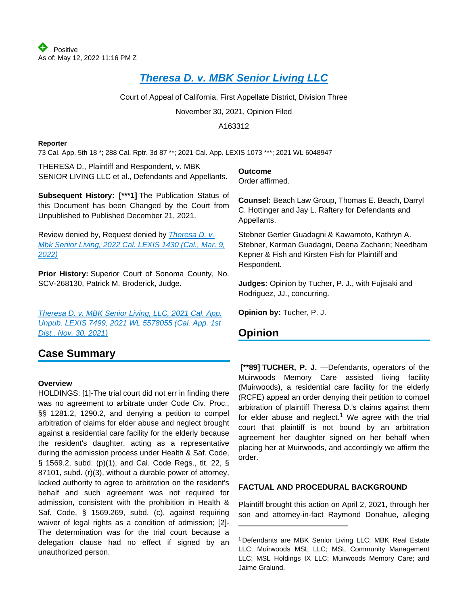# **[Theresa D. v. MBK Senior Living LLC](https://plus.lexis.com/api/document?collection=cases&id=urn:contentItem:64C0-23N1-JG02-S07H-00000-00&context=1530671)**

Court of Appeal of California, First Appellate District, Division Three

November 30, 2021, Opinion Filed

A163312

#### **Reporter**

73 Cal. App. 5th 18 \*; 288 Cal. Rptr. 3d 87 \*\*; 2021 Cal. App. LEXIS 1073 \*\*\*; 2021 WL 6048947

THERESA D., Plaintiff and Respondent, v. MBK SENIOR LIVING LLC et al., Defendants and Appellants.

**Subsequent History: [\*\*\*1]** The Publication Status of this Document has been Changed by the Court from Unpublished to Published December 21, 2021.

Review denied by, Request denied by *Theresa D. v.* [Mbk Senior Living, 2022 Cal. LEXIS 1430 \(Cal., Mar. 9,](https://plus.lexis.com/api/document?collection=cases&id=urn:contentItem:64YR-5Y03-CGX8-11B8-00000-00&context=1530671)  [2022\)](https://plus.lexis.com/api/document?collection=cases&id=urn:contentItem:64YR-5Y03-CGX8-11B8-00000-00&context=1530671)

**Prior History:** Superior Court of Sonoma County, No. SCV-268130, Patrick M. Broderick, Judge.

[Theresa D. v. MBK Senior Living, LLC, 2021 Cal. App.](https://plus.lexis.com/api/document?collection=cases&id=urn:contentItem:646H-NVM1-F8KH-X0DS-00000-00&context=1530671)  [Unpub. LEXIS 7499, 2021 WL 5578055 \(Cal. App. 1st](https://plus.lexis.com/api/document?collection=cases&id=urn:contentItem:646H-NVM1-F8KH-X0DS-00000-00&context=1530671)  [Dist., Nov. 30, 2021\)](https://plus.lexis.com/api/document?collection=cases&id=urn:contentItem:646H-NVM1-F8KH-X0DS-00000-00&context=1530671)

# **Case Summary**

#### **Overview**

HOLDINGS: [1]-The trial court did not err in finding there was no agreement to arbitrate under Code Civ. Proc., §§ 1281.2, 1290.2, and denying a petition to compel arbitration of claims for elder abuse and neglect brought against a residential care facility for the elderly because the resident's daughter, acting as a representative during the admission process under Health & Saf. Code, § 1569.2, subd. (p)(1), and Cal. Code Regs., tit. 22, § 87101, subd. (r)(3), without a durable power of attorney, lacked authority to agree to arbitration on the resident's behalf and such agreement was not required for admission, consistent with the prohibition in Health & Saf. Code, § 1569.269, subd. (c), against requiring waiver of legal rights as a condition of admission; [2]- The determination was for the trial court because a delegation clause had no effect if signed by an unauthorized person.

**Outcome**

Order affirmed.

**Counsel:** Beach Law Group, Thomas E. Beach, Darryl C. Hottinger and Jay L. Raftery for Defendants and Appellants.

Stebner Gertler Guadagni & Kawamoto, Kathryn A. Stebner, Karman Guadagni, Deena Zacharin; Needham Kepner & Fish and Kirsten Fish for Plaintiff and Respondent.

**Judges:** Opinion by Tucher, P. J., with Fujisaki and Rodriguez, JJ., concurring.

**Opinion by:** Tucher, P. J.

# **Opinion**

 **[\*\*89] TUCHER, P. J.** —Defendants, operators of the Muirwoods Memory Care assisted living facility (Muirwoods), a residential care facility for the elderly (RCFE) appeal an order denying their petition to compel arbitration of plaintiff Theresa D.'s claims against them for elder abuse and neglect.<sup>1</sup> We agree with the trial court that plaintiff is not bound by an arbitration agreement her daughter signed on her behalf when placing her at Muirwoods, and accordingly we affirm the order.

### **FACTUAL AND PROCEDURAL BACKGROUND**

Plaintiff brought this action on April 2, 2021, through her son and attorney-in-fact Raymond Donahue, alleging

<sup>1</sup>Defendants are MBK Senior Living LLC; MBK Real Estate LLC; Muirwoods MSL LLC; MSL Community Management LLC; MSL Holdings IX LLC; Muirwoods Memory Care; and Jaime Gralund.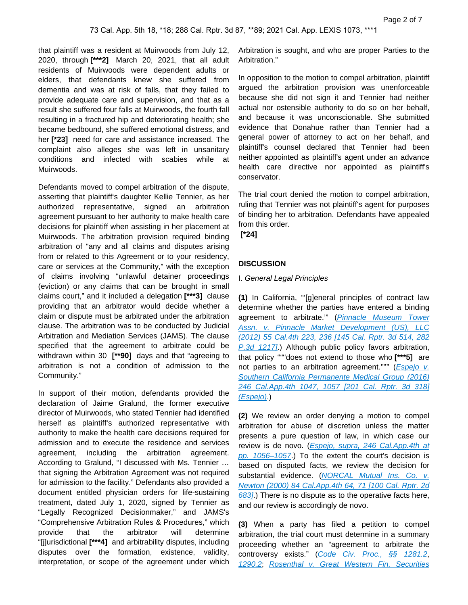that plaintiff was a resident at Muirwoods from July 12, 2020, through **[\*\*\*2]** March 20, 2021, that all adult residents of Muirwoods were dependent adults or elders, that defendants knew she suffered from dementia and was at risk of falls, that they failed to provide adequate care and supervision, and that as a result she suffered four falls at Muirwoods, the fourth fall resulting in a fractured hip and deteriorating health; she became bedbound, she suffered emotional distress, and her **[\*23]** need for care and assistance increased. The complaint also alleges she was left in unsanitary conditions and infected with scabies while at Muirwoods.

Defendants moved to compel arbitration of the dispute, asserting that plaintiff's daughter Kellie Tennier, as her authorized representative, signed an arbitration agreement pursuant to her authority to make health care decisions for plaintiff when assisting in her placement at Muirwoods. The arbitration provision required binding arbitration of "any and all claims and disputes arising from or related to this Agreement or to your residency, care or services at the Community," with the exception of claims involving "unlawful detainer proceedings (eviction) or any claims that can be brought in small claims court," and it included a delegation **[\*\*\*3]** clause providing that an arbitrator would decide whether a claim or dispute must be arbitrated under the arbitration clause. The arbitration was to be conducted by Judicial Arbitration and Mediation Services (JAMS). The clause specified that the agreement to arbitrate could be withdrawn within 30 **[\*\*90]** days and that "agreeing to arbitration is not a condition of admission to the Community."

In support of their motion, defendants provided the declaration of Jaime Gralund, the former executive director of Muirwoods, who stated Tennier had identified herself as plaintiff's authorized representative with authority to make the health care decisions required for admission and to execute the residence and services agreement, including the arbitration agreement. According to Gralund, "I discussed with Ms. Tennier … that signing the Arbitration Agreement was not required for admission to the facility." Defendants also provided a document entitled physician orders for life-sustaining treatment, dated July 1, 2020, signed by Tennier as "Legally Recognized Decisionmaker," and JAMS's "Comprehensive Arbitration Rules & Procedures," which provide that the arbitrator will determine "[j]urisdictional **[\*\*\*4]** and arbitrability disputes, including disputes over the formation, existence, validity, interpretation, or scope of the agreement under which

Arbitration is sought, and who are proper Parties to the Arbitration."

In opposition to the motion to compel arbitration, plaintiff argued the arbitration provision was unenforceable because she did not sign it and Tennier had neither actual nor ostensible authority to do so on her behalf, and because it was unconscionable. She submitted evidence that Donahue rather than Tennier had a general power of attorney to act on her behalf, and plaintiff's counsel declared that Tennier had been neither appointed as plaintiff's agent under an advance health care directive nor appointed as plaintiff's conservator.

The trial court denied the motion to compel arbitration, ruling that Tennier was not plaintiff's agent for purposes of binding her to arbitration. Defendants have appealed from this order.

 **[\*24]** 

#### **DISCUSSION**

#### I. General Legal Principles

**(1)** In California, "'[g]eneral principles of contract law determine whether the parties have entered a binding agreement to arbitrate."" (Pinnacle Museum Tower Assn. v. Pinnacle Market Development (US), LLC [\(2012\) 55 Cal.4th 223, 236 \[145 Cal. Rptr. 3d 514, 282](https://plus.lexis.com/api/document?collection=cases&id=urn:contentItem:56BV-F1N1-F04B-P4MP-00000-00&context=1530671)  [P.3d 1217\]](https://plus.lexis.com/api/document?collection=cases&id=urn:contentItem:56BV-F1N1-F04B-P4MP-00000-00&context=1530671).) Although public policy favors arbitration, that policy "'"'does not extend to those who **[\*\*\*5]** are not parties to an arbitration agreement.""" (*Espejo v.* [Southern California Permanente Medical Group \(2016\)](https://plus.lexis.com/api/document?collection=cases&id=urn:contentItem:5JKN-PDF1-F04B-N195-00000-00&context=1530671)  [246 Cal.App.4th 1047, 1057 \[201 Cal. Rptr. 3d 318\]](https://plus.lexis.com/api/document?collection=cases&id=urn:contentItem:5JKN-PDF1-F04B-N195-00000-00&context=1530671)  [\(Espejo\)](https://plus.lexis.com/api/document?collection=cases&id=urn:contentItem:5JKN-PDF1-F04B-N195-00000-00&context=1530671).)

**(2)** We review an order denying a motion to compel arbitration for abuse of discretion unless the matter presents a pure question of law, in which case our review is de novo. (Espejo, supra, 246 Cal.App.4th at pp. 1056-1057.) To the extent the court's decision is based on disputed facts, we review the decision for substantial evidence. (NORCAL Mutual Ins. Co. v. [Newton \(2000\) 84 Cal.App.4th 64, 71 \[100 Cal. Rptr. 2d](https://plus.lexis.com/api/document?collection=cases&id=urn:contentItem:41CY-JSP0-0039-4081-00000-00&context=1530671)  [683\]](https://plus.lexis.com/api/document?collection=cases&id=urn:contentItem:41CY-JSP0-0039-4081-00000-00&context=1530671).) There is no dispute as to the operative facts here, and our review is accordingly de novo.

**(3)** When a party has filed a petition to compel arbitration, the trial court must determine in a summary proceeding whether an "agreement to arbitrate the controversy exists." ([Code Civ. Proc., §§ 1281.2](https://plus.lexis.com/api/document?collection=statutes-legislation&id=urn:contentItem:8S77-WG12-8T6X-73TH-00000-00&context=1530671), [1290.2](https://plus.lexis.com/api/document?collection=statutes-legislation&id=urn:contentItem:5J6R-DBF1-66B9-80W2-00000-00&context=1530671); [Rosenthal v. Great Western Fin. Securities](https://plus.lexis.com/api/document?collection=cases&id=urn:contentItem:3RJN-2750-0039-431H-00000-00&context=1530671)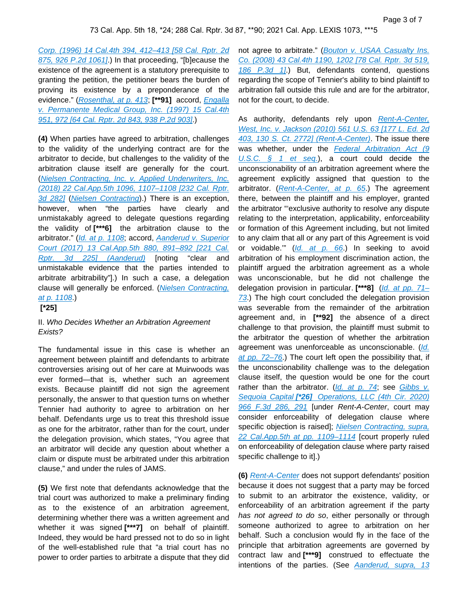[Corp. \(1996\) 14 Cal.4th 394, 412–413 \[58 Cal. Rptr. 2d](https://plus.lexis.com/api/document?collection=cases&id=urn:contentItem:3RJN-2750-0039-431H-00000-00&context=1530671)  [875, 926 P.2d 1061\]](https://plus.lexis.com/api/document?collection=cases&id=urn:contentItem:3RJN-2750-0039-431H-00000-00&context=1530671).) In that proceeding, "[b]ecause the existence of the agreement is a statutory prerequisite to granting the petition, the petitioner bears the burden of proving its existence by a preponderance of the evidence." ([Rosenthal, at p. 413](https://plus.lexis.com/api/document?collection=cases&id=urn:contentItem:3RJN-2750-0039-431H-00000-00&context=1530671); **[\*\*91]** accord, [Engalla](https://plus.lexis.com/api/document?collection=cases&id=urn:contentItem:3RJN-38N0-0039-43TW-00000-00&context=1530671)  [v. Permanente Medical Group, Inc. \(1997\) 15 Cal.4th](https://plus.lexis.com/api/document?collection=cases&id=urn:contentItem:3RJN-38N0-0039-43TW-00000-00&context=1530671)  [951, 972 \[64 Cal. Rptr. 2d 843, 938 P.2d 903\]](https://plus.lexis.com/api/document?collection=cases&id=urn:contentItem:3RJN-38N0-0039-43TW-00000-00&context=1530671).)

**(4)** When parties have agreed to arbitration, challenges to the validity of the underlying contract are for the arbitrator to decide, but challenges to the validity of the arbitration clause itself are generally for the court. ([Nielsen Contracting, Inc. v. Applied Underwriters, Inc.](https://plus.lexis.com/api/document?collection=cases&id=urn:contentItem:5S7N-JP51-F04B-N08N-00000-00&context=1530671)  [\(2018\) 22 Cal.App.5th 1096, 1107–1108 \[232 Cal. Rptr.](https://plus.lexis.com/api/document?collection=cases&id=urn:contentItem:5S7N-JP51-F04B-N08N-00000-00&context=1530671)  [3d 282\]](https://plus.lexis.com/api/document?collection=cases&id=urn:contentItem:5S7N-JP51-F04B-N08N-00000-00&context=1530671) ([Nielsen Contracting](https://plus.lexis.com/api/document?collection=cases&id=urn:contentItem:5S7N-JP51-F04B-N08N-00000-00&context=1530671)).) There is an exception, however, when "the parties have clearly and unmistakably agreed to delegate questions regarding the validity of **[\*\*\*6]** the arbitration clause to the arbitrator." ([Id. at p. 1108](https://plus.lexis.com/api/document?collection=cases&id=urn:contentItem:5S7N-JP51-F04B-N08N-00000-00&context=1530671); accord, Aanderud v. Superior [Court \(2017\) 13 Cal.App.5th 880, 891–892 \[221 Cal.](https://plus.lexis.com/api/document?collection=cases&id=urn:contentItem:5P3S-V611-F04B-N0MM-00000-00&context=1530671)  [Rptr. 3d 225\] \(Aanderud\)](https://plus.lexis.com/api/document?collection=cases&id=urn:contentItem:5P3S-V611-F04B-N0MM-00000-00&context=1530671) [noting "clear and unmistakable evidence that the parties intended to arbitrate arbitrability"].) In such a case, a delegation clause will generally be enforced. ([Nielsen Contracting,](https://plus.lexis.com/api/document?collection=cases&id=urn:contentItem:5S7N-JP51-F04B-N08N-00000-00&context=1530671)  [at p. 1108](https://plus.lexis.com/api/document?collection=cases&id=urn:contentItem:5S7N-JP51-F04B-N08N-00000-00&context=1530671).)

 **[\*25]** 

### II. Who Decides Whether an Arbitration Agreement Exists?

The fundamental issue in this case is whether an agreement between plaintiff and defendants to arbitrate controversies arising out of her care at Muirwoods was ever formed—that is, whether such an agreement exists. Because plaintiff did not sign the agreement personally, the answer to that question turns on whether Tennier had authority to agree to arbitration on her behalf. Defendants urge us to treat this threshold issue as one for the arbitrator, rather than for the court, under the delegation provision, which states, "You agree that an arbitrator will decide any question about whether a claim or dispute must be arbitrated under this arbitration clause," and under the rules of JAMS.

**(5)** We first note that defendants acknowledge that the trial court was authorized to make a preliminary finding as to the existence of an arbitration agreement, determining whether there was a written agreement and whether it was signed **[\*\*\*7]** on behalf of plaintiff. Indeed, they would be hard pressed not to do so in light of the well-established rule that "a trial court has no power to order parties to arbitrate a dispute that they did

not agree to arbitrate." (Bouton v. USAA Casualty Ins. [Co. \(2008\) 43 Cal.4th 1190, 1202 \[78 Cal. Rptr. 3d 519,](https://plus.lexis.com/api/document?collection=cases&id=urn:contentItem:4SPX-CY00-TX4N-G1FF-00000-00&context=1530671)  [186 P.3d 1\]](https://plus.lexis.com/api/document?collection=cases&id=urn:contentItem:4SPX-CY00-TX4N-G1FF-00000-00&context=1530671).) But, defendants contend, questions regarding the scope of Tennier's ability to bind plaintiff to arbitration fall outside this rule and are for the arbitrator, not for the court, to decide.

As authority, defendants rely upon Rent-A-Center, [West, Inc. v. Jackson \(2010\) 561 U.S. 63 \[177 L. Ed. 2d](https://plus.lexis.com/api/document?collection=cases&id=urn:contentItem:7YS1-THJ0-YB0V-9006-00000-00&context=1530671)  [403, 130 S. Ct. 2772\] \(Rent-A-Center\)](https://plus.lexis.com/api/document?collection=cases&id=urn:contentItem:7YS1-THJ0-YB0V-9006-00000-00&context=1530671). The issue there was whether, under the Federal Arbitration Act (9 U.S.C.  $\S$  1 et seq.), a court could decide the unconscionability of an arbitration agreement where the agreement explicitly assigned that question to the arbitrator. ([Rent-A-Center, at p. 65](https://plus.lexis.com/api/document?collection=cases&id=urn:contentItem:7YS1-THJ0-YB0V-9006-00000-00&context=1530671).) The agreement there, between the plaintiff and his employer, granted the arbitrator "'exclusive authority to resolve any dispute relating to the interpretation, applicability, enforceability or formation of this Agreement including, but not limited to any claim that all or any part of this Agreement is void or voidable." ([Id. at p. 66](https://plus.lexis.com/api/document?collection=cases&id=urn:contentItem:7YS1-THJ0-YB0V-9006-00000-00&context=1530671).) In seeking to avoid arbitration of his employment discrimination action, the plaintiff argued the arbitration agreement as a whole was unconscionable, but he did not challenge the delegation provision in particular. **[\*\*\*8]** ([Id. at pp. 71–](https://plus.lexis.com/api/document?collection=cases&id=urn:contentItem:7YS1-THJ0-YB0V-9006-00000-00&context=1530671) [73](https://plus.lexis.com/api/document?collection=cases&id=urn:contentItem:7YS1-THJ0-YB0V-9006-00000-00&context=1530671).) The high court concluded the delegation provision was severable from the remainder of the arbitration agreement and, in **[\*\*92]** the absence of a direct challenge to that provision, the plaintiff must submit to the arbitrator the question of whether the arbitration agreement was unenforceable as unconscionable. (Id. [at pp. 72–76](https://plus.lexis.com/api/document?collection=cases&id=urn:contentItem:7YS1-THJ0-YB0V-9006-00000-00&context=1530671).) The court left open the possibility that, if the unconscionability challenge was to the delegation clause itself, the question would be one for the court rather than the arbitrator.  $(Id.$  at p. 74; see Gibbs  $v.$ Sequoia Capital **[\*26]** [Operations, LLC \(4th Cir. 2020\)](https://plus.lexis.com/api/document?collection=cases&id=urn:contentItem:60DD-YR51-JJSF-20BF-00000-00&context=1530671)  [966 F.3d 286, 291](https://plus.lexis.com/api/document?collection=cases&id=urn:contentItem:60DD-YR51-JJSF-20BF-00000-00&context=1530671) [under Rent-A-Center, court may consider enforceability of delegation clause where specific objection is raised]; Nielsen Contracting, supra, 22 Cal. App. 5th at pp. 1109-1114 [court properly ruled on enforceability of delegation clause where party raised specific challenge to it].)

**(6)** [Rent-A-Center](https://plus.lexis.com/api/document?collection=cases&id=urn:contentItem:7YS1-THJ0-YB0V-9006-00000-00&context=1530671) does not support defendants' position because it does not suggest that a party may be forced to submit to an arbitrator the existence, validity, or enforceability of an arbitration agreement if the party has not agreed to do so, either personally or through someone authorized to agree to arbitration on her behalf. Such a conclusion would fly in the face of the principle that arbitration agreements are governed by contract law and **[\*\*\*9]** construed to effectuate the intentions of the parties. (See Aanderud, supra, 13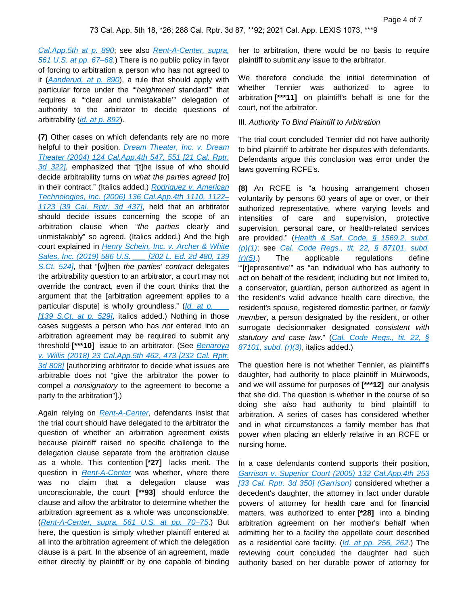[Cal.App.5th at p. 890](https://plus.lexis.com/api/document?collection=cases&id=urn:contentItem:5P3S-V611-F04B-N0MM-00000-00&context=1530671); see also [Rent-A-Center, supra,](https://plus.lexis.com/api/document?collection=cases&id=urn:contentItem:7YS1-THJ0-YB0V-9006-00000-00&context=1530671)  [561 U.S. at pp. 67–68](https://plus.lexis.com/api/document?collection=cases&id=urn:contentItem:7YS1-THJ0-YB0V-9006-00000-00&context=1530671).) There is no public policy in favor of forcing to arbitration a person who has not agreed to it  $(Aanderud, at p. 890)$  $(Aanderud, at p. 890)$  $(Aanderud, at p. 890)$ , a rule that should apply with particular force under the "heightened standard" that requires a "'clear and unmistakable'" delegation of authority to the arbitrator to decide questions of arbitrability ([id. at p. 892](https://plus.lexis.com/api/document?collection=cases&id=urn:contentItem:5P3S-V611-F04B-N0MM-00000-00&context=1530671)).

**(7)** Other cases on which defendants rely are no more helpful to their position. Dream Theater, Inc. v. Dream [Theater \(2004\) 124 Cal.App.4th 547, 551 \[21 Cal. Rptr.](https://plus.lexis.com/api/document?collection=cases&id=urn:contentItem:4DXC-G470-0039-4169-00000-00&context=1530671)  [3d 322\]](https://plus.lexis.com/api/document?collection=cases&id=urn:contentItem:4DXC-G470-0039-4169-00000-00&context=1530671), emphasized that "[t]he issue of who should decide arbitrability turns on what the parties agreed [to] in their contract." (Italics added.) Rodriguez v. American [Technologies, Inc. \(2006\) 136 Cal.App.4th 1110, 1122–](https://plus.lexis.com/api/document?collection=cases&id=urn:contentItem:4J90-RG50-0039-450C-00000-00&context=1530671) [1123 \[39 Cal. Rptr. 3d 437\]](https://plus.lexis.com/api/document?collection=cases&id=urn:contentItem:4J90-RG50-0039-450C-00000-00&context=1530671), held that an arbitrator should decide issues concerning the scope of an arbitration clause when "the parties clearly and unmistakably" so agreed. (Italics added.) And the high court explained in *Henry Schein, Inc. v. Archer & White* Sales, Inc. (2019) 586 U.S. 1202 L. Ed. 2d 480, 139 [S.Ct. 524\]](https://plus.lexis.com/api/document?collection=cases&id=urn:contentItem:5V50-0GF1-JP4G-61MX-00000-00&context=1530671), that "[w]hen the parties' contract delegates the arbitrability question to an arbitrator, a court may not override the contract, even if the court thinks that the argument that the [arbitration agreement applies to a particular dispute] is wholly groundless."  $(Id.$  at p. [139 S.Ct. at  $p.$  529], italics added.) Nothing in those cases suggests a person who has not entered into an arbitration agreement may be required to submit any threshold **[\*\*\*10]** issue to an arbitrator. (See [Benaroya](https://plus.lexis.com/api/document?collection=cases&id=urn:contentItem:5SBN-C4G1-F04B-N01H-00000-00&context=1530671)  [v. Willis \(2018\) 23 Cal.App.5th 462, 473 \[232 Cal. Rptr.](https://plus.lexis.com/api/document?collection=cases&id=urn:contentItem:5SBN-C4G1-F04B-N01H-00000-00&context=1530671)  [3d 808\]](https://plus.lexis.com/api/document?collection=cases&id=urn:contentItem:5SBN-C4G1-F04B-N01H-00000-00&context=1530671) [authorizing arbitrator to decide what issues are arbitrable does not "give the arbitrator the power to compel a nonsignatory to the agreement to become a party to the arbitration"].)

Again relying on [Rent-A-Center](https://plus.lexis.com/api/document?collection=cases&id=urn:contentItem:7YS1-THJ0-YB0V-9006-00000-00&context=1530671), defendants insist that the trial court should have delegated to the arbitrator the question of whether an arbitration agreement exists because plaintiff raised no specific challenge to the delegation clause separate from the arbitration clause as a whole. This contention **[\*27]** lacks merit. The question in [Rent-A-Center](https://plus.lexis.com/api/document?collection=cases&id=urn:contentItem:7YS1-THJ0-YB0V-9006-00000-00&context=1530671) was whether, where there was no claim that a delegation clause was unconscionable, the court **[\*\*93]** should enforce the clause and allow the arbitrator to determine whether the arbitration agreement as a whole was unconscionable. ([Rent-A-Center, supra, 561 U.S. at pp. 70–75](https://plus.lexis.com/api/document?collection=cases&id=urn:contentItem:7YS1-THJ0-YB0V-9006-00000-00&context=1530671).) But here, the question is simply whether plaintiff entered at all into the arbitration agreement of which the delegation clause is a part. In the absence of an agreement, made either directly by plaintiff or by one capable of binding

her to arbitration, there would be no basis to require plaintiff to submit any issue to the arbitrator.

We therefore conclude the initial determination of whether Tennier was authorized to agree to arbitration **[\*\*\*11]** on plaintiff's behalf is one for the court, not the arbitrator.

#### III. Authority To Bind Plaintiff to Arbitration

The trial court concluded Tennier did not have authority to bind plaintiff to arbitrate her disputes with defendants. Defendants argue this conclusion was error under the laws governing RCFE's.

**(8)** An RCFE is "a housing arrangement chosen voluntarily by persons 60 years of age or over, or their authorized representative, where varying levels and intensities of care and supervision, protective supervision, personal care, or health-related services are provided." (Health & Saf. Code, § 1569.2, subd. [\(p\)\(1\)](https://plus.lexis.com/api/document?collection=statutes-legislation&id=urn:contentItem:8MTV-4TR2-8T6X-72YP-00000-00&context=1530671); see [Cal. Code Regs., tit. 22, § 87101, subd.](https://plus.lexis.com/api/document?collection=administrative-codes&id=urn:contentItem:64VH-82Y1-JBM1-M0TS-00009-00&context=1530671)   $(r)(5)$ . The applicable regulations define "'[r]epresentive'" as "an individual who has authority to act on behalf of the resident; including but not limited to, a conservator, guardian, person authorized as agent in the resident's valid advance health care directive, the resident's spouse, registered domestic partner, or family member, a person designated by the resident, or other surrogate decisionmaker designated consistent with statutory and case law." (Cal. Code Regs., tit. 22, § [87101, subd. \(r\)\(3\)](https://plus.lexis.com/api/document?collection=administrative-codes&id=urn:contentItem:64VH-82Y1-JBM1-M0TS-00009-00&context=1530671), italics added.)

The question here is not whether Tennier, as plaintiff's daughter, had authority to place plaintiff in Muirwoods, and we will assume for purposes of **[\*\*\*12]** our analysis that she did. The question is whether in the course of so doing she also had authority to bind plaintiff to arbitration. A series of cases has considered whether and in what circumstances a family member has that power when placing an elderly relative in an RCFE or nursing home.

In a case defendants contend supports their position, [Garrison v. Superior Court \(2005\) 132 Cal.App.4th 253](https://plus.lexis.com/api/document?collection=cases&id=urn:contentItem:4H0C-JDD0-0039-41JS-00000-00&context=1530671)  [\[33 Cal. Rptr. 3d 350\] \(Garrison\)](https://plus.lexis.com/api/document?collection=cases&id=urn:contentItem:4H0C-JDD0-0039-41JS-00000-00&context=1530671) considered whether a decedent's daughter, the attorney in fact under durable powers of attorney for health care and for financial matters, was authorized to enter **[\*28]** into a binding arbitration agreement on her mother's behalf when admitting her to a facility the appellate court described as a residential care facility. ([Id. at pp. 256, 262](https://plus.lexis.com/api/document?collection=cases&id=urn:contentItem:4H0C-JDD0-0039-41JS-00000-00&context=1530671).) The reviewing court concluded the daughter had such authority based on her durable power of attorney for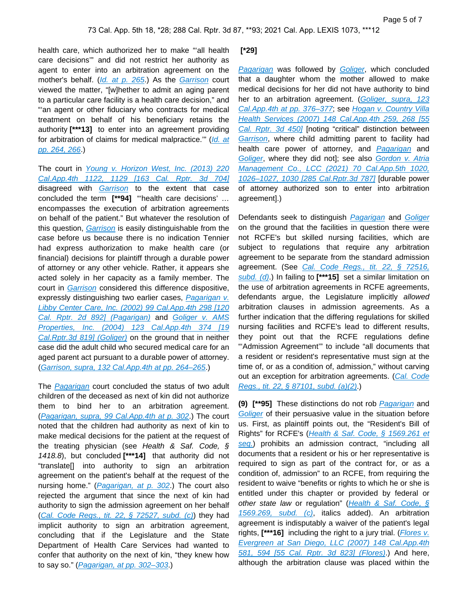health care, which authorized her to make "'all health care decisions'" and did not restrict her authority as agent to enter into an arbitration agreement on the mother's behalf. ([Id. at p. 265](https://plus.lexis.com/api/document?collection=cases&id=urn:contentItem:4H0C-JDD0-0039-41JS-00000-00&context=1530671).) As the [Garrison](https://plus.lexis.com/api/document?collection=cases&id=urn:contentItem:4H0C-JDD0-0039-41JS-00000-00&context=1530671) court viewed the matter, "[w]hether to admit an aging parent to a particular care facility is a health care decision," and "'an agent or other fiduciary who contracts for medical treatment on behalf of his beneficiary retains the authority **[\*\*\*13]** to enter into an agreement providing for arbitration of claims for medical malpractice.'" ([Id. at](https://plus.lexis.com/api/document?collection=cases&id=urn:contentItem:4H0C-JDD0-0039-41JS-00000-00&context=1530671)  [pp. 264, 266](https://plus.lexis.com/api/document?collection=cases&id=urn:contentItem:4H0C-JDD0-0039-41JS-00000-00&context=1530671).)

The court in Young v. Horizon West, Inc. (2013) 220 [Cal.App.4th 1122, 1129 \[163 Cal. Rptr. 3d 704\]](https://plus.lexis.com/api/document?collection=cases&id=urn:contentItem:59P7-VTB1-F04B-N0HY-00000-00&context=1530671) disagreed with **[Garrison](https://plus.lexis.com/api/document?collection=cases&id=urn:contentItem:4H0C-JDD0-0039-41JS-00000-00&context=1530671)** to the extent that case concluded the term **[\*\*94]** "'health care decisions' … encompasses the execution of arbitration agreements on behalf of the patient." But whatever the resolution of this question, *[Garrison](https://plus.lexis.com/api/document?collection=cases&id=urn:contentItem:4H0C-JDD0-0039-41JS-00000-00&context=1530671)* is easily distinguishable from the case before us because there is no indication Tennier had express authorization to make health care (or financial) decisions for plaintiff through a durable power of attorney or any other vehicle. Rather, it appears she acted solely in her capacity as a family member. The court in *[Garrison](https://plus.lexis.com/api/document?collection=cases&id=urn:contentItem:4H0C-JDD0-0039-41JS-00000-00&context=1530671)* considered this difference dispositive, expressly distinguishing two earlier cases, Pagarigan v. [Libby Center Care, Inc. \(2002\) 99 Cal.App.4th 298 \[120](https://plus.lexis.com/api/document?collection=cases&id=urn:contentItem:4621-SXG0-0039-42S3-00000-00&context=1530671)  [Cal. Rptr. 2d 892\] \(Pagarigan\)](https://plus.lexis.com/api/document?collection=cases&id=urn:contentItem:4621-SXG0-0039-42S3-00000-00&context=1530671) and Goliger v. AMS [Properties, Inc. \(2004\) 123 Cal.App.4th 374 \[19](https://plus.lexis.com/api/document?collection=cases&id=urn:contentItem:4DKV-MWW0-0039-429F-00000-00&context=1530671)  [Cal.Rptr.3d 819\] \(Goliger\)](https://plus.lexis.com/api/document?collection=cases&id=urn:contentItem:4DKV-MWW0-0039-429F-00000-00&context=1530671) on the ground that in neither case did the adult child who secured medical care for an aged parent act pursuant to a durable power of attorney. ([Garrison, supra, 132 Cal.App.4th at pp. 264–265](https://plus.lexis.com/api/document?collection=cases&id=urn:contentItem:4H0C-JDD0-0039-41JS-00000-00&context=1530671).)

The [Pagarigan](https://plus.lexis.com/api/document?collection=cases&id=urn:contentItem:4621-SXG0-0039-42S3-00000-00&context=1530671) court concluded the status of two adult children of the deceased as next of kin did not authorize them to bind her to an arbitration agreement. ([Pagarigan, supra, 99 Cal.App.4th at p. 302](https://plus.lexis.com/api/document?collection=cases&id=urn:contentItem:4621-SXG0-0039-42S3-00000-00&context=1530671).) The court noted that the children had authority as next of kin to make medical decisions for the patient at the request of the treating physician (see Health & Saf. Code, § 1418.8), but concluded **[\*\*\*14]** that authority did not "translate[] into authority to sign an arbitration agreement on the patient's behalf at the request of the nursing home." (*[Pagarigan, at p. 302](https://plus.lexis.com/api/document?collection=cases&id=urn:contentItem:4621-SXG0-0039-42S3-00000-00&context=1530671)*.) The court also rejected the argument that since the next of kin had authority to sign the admission agreement on her behalf (Cal. Code Regs., tit. 22,  $\S$  72527, subd. (c)) they had implicit authority to sign an arbitration agreement, concluding that if the Legislature and the State Department of Health Care Services had wanted to confer that authority on the next of kin, "they knew how to say so." (*Pagarigan, at pp. 302-303*.)

#### **[\*29]**

[Pagarigan](https://plus.lexis.com/api/document?collection=cases&id=urn:contentItem:4621-SXG0-0039-42S3-00000-00&context=1530671) was followed by [Goliger](https://plus.lexis.com/api/document?collection=cases&id=urn:contentItem:4DKV-MWW0-0039-429F-00000-00&context=1530671), which concluded that a daughter whom the mother allowed to make medical decisions for her did not have authority to bind her to an arbitration agreement. (Goliger, supra, 123 Cal.App.4th at pp. 376-377; see Hogan v. Country Villa [Health Services \(2007\) 148 Cal.App.4th 259, 268 \[55](https://plus.lexis.com/api/document?collection=cases&id=urn:contentItem:4N5F-J720-0039-40KP-00000-00&context=1530671)  [Cal. Rptr. 3d 450\]](https://plus.lexis.com/api/document?collection=cases&id=urn:contentItem:4N5F-J720-0039-40KP-00000-00&context=1530671) [noting "critical" distinction between [Garrison](https://plus.lexis.com/api/document?collection=cases&id=urn:contentItem:4H0C-JDD0-0039-41JS-00000-00&context=1530671), where child admitting parent to facility had health care power of attorney, and [Pagarigan](https://plus.lexis.com/api/document?collection=cases&id=urn:contentItem:4621-SXG0-0039-42S3-00000-00&context=1530671) and [Goliger](https://plus.lexis.com/api/document?collection=cases&id=urn:contentItem:4DKV-MWW0-0039-429F-00000-00&context=1530671), where they did not]; see also Gordon v. Atria [Management Co., LCC \(2021\) 70 Cal.App.5th 1020,](https://plus.lexis.com/api/document?collection=cases&id=urn:contentItem:63Y5-47G1-JSC5-M4S8-00000-00&context=1530671)  [1026–1027, 1030 \[285 Cal.Rptr.3d 787\]](https://plus.lexis.com/api/document?collection=cases&id=urn:contentItem:63Y5-47G1-JSC5-M4S8-00000-00&context=1530671) [durable power of attorney authorized son to enter into arbitration agreement].)

Defendants seek to distinguish [Pagarigan](https://plus.lexis.com/api/document?collection=cases&id=urn:contentItem:4621-SXG0-0039-42S3-00000-00&context=1530671) and [Goliger](https://plus.lexis.com/api/document?collection=cases&id=urn:contentItem:4DKV-MWW0-0039-429F-00000-00&context=1530671) on the ground that the facilities in question there were not RCFE's but skilled nursing facilities, which are subject to regulations that require any arbitration agreement to be separate from the standard admission agreement. (See *Cal. Code Regs., tit. 22, § 72516*, [subd. \(d\)](https://plus.lexis.com/api/document?collection=administrative-codes&id=urn:contentItem:5X10-2PP1-JJ6S-64CB-00009-00&context=1530671).) In failing to **[\*\*\*15]** set a similar limitation on the use of arbitration agreements in RCFE agreements, defendants argue, the Legislature implicitly allowed arbitration clauses in admission agreements. As a further indication that the differing regulations for skilled nursing facilities and RCFE's lead to different results, they point out that the RCFE regulations define "'Admission Agreement'" to include "all documents that a resident or resident's representative must sign at the time of, or as a condition of, admission," without carving out an exception for arbitration agreements. (Cal. Code [Regs., tit. 22, § 87101, subd. \(a\)\(2\)](https://plus.lexis.com/api/document?collection=administrative-codes&id=urn:contentItem:64VH-82Y1-JBM1-M0TS-00009-00&context=1530671).)

**(9) [\*\*95]** These distinctions do not rob [Pagarigan](https://plus.lexis.com/api/document?collection=cases&id=urn:contentItem:4621-SXG0-0039-42S3-00000-00&context=1530671) and [Goliger](https://plus.lexis.com/api/document?collection=cases&id=urn:contentItem:4DKV-MWW0-0039-429F-00000-00&context=1530671) of their persuasive value in the situation before us. First, as plaintiff points out, the "Resident's Bill of Rights" for RCFE's ([Health & Saf. Code, § 1569.261 et](https://plus.lexis.com/api/document?collection=statutes-legislation&id=urn:contentItem:5J6R-GT11-66B9-854P-00000-00&context=1530671)  [seq.](https://plus.lexis.com/api/document?collection=statutes-legislation&id=urn:contentItem:5J6R-GT11-66B9-854P-00000-00&context=1530671)) prohibits an admission contract, "including all documents that a resident or his or her representative is required to sign as part of the contract for, or as a condition of, admission" to an RCFE, from requiring the resident to waive "benefits or rights to which he or she is entitled under this chapter or provided by federal or other state law or regulation" (Health & Saf. Code, § [1569.269, subd. \(c\)](https://plus.lexis.com/api/document?collection=statutes-legislation&id=urn:contentItem:5J6R-GT11-66B9-854X-00000-00&context=1530671), italics added). An arbitration agreement is indisputably a waiver of the patient's legal rights, **[\*\*\*16]** including the right to a jury trial. ([Flores v.](https://plus.lexis.com/api/document?collection=cases&id=urn:contentItem:4N81-69K0-0039-40SC-00000-00&context=1530671)  [Evergreen at San Diego, LLC \(2007\) 148 Cal.App.4th](https://plus.lexis.com/api/document?collection=cases&id=urn:contentItem:4N81-69K0-0039-40SC-00000-00&context=1530671)  [581, 594 \[55 Cal. Rptr. 3d 823\] \(Flores\)](https://plus.lexis.com/api/document?collection=cases&id=urn:contentItem:4N81-69K0-0039-40SC-00000-00&context=1530671).) And here, although the arbitration clause was placed within the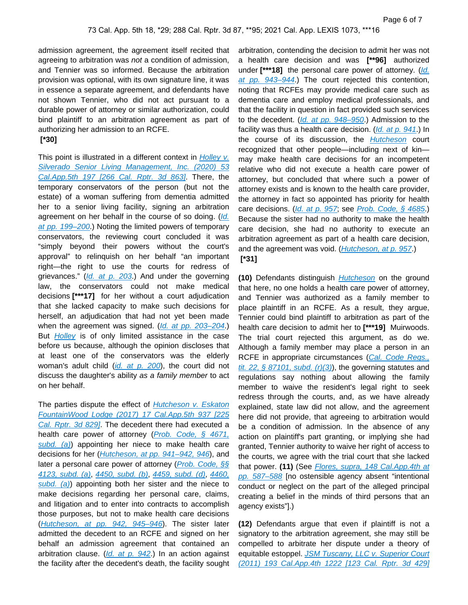admission agreement, the agreement itself recited that agreeing to arbitration was not a condition of admission, and Tennier was so informed. Because the arbitration provision was optional, with its own signature line, it was in essence a separate agreement, and defendants have not shown Tennier, who did not act pursuant to a durable power of attorney or similar authorization, could bind plaintiff to an arbitration agreement as part of authorizing her admission to an RCFE.

### **[\*30]**

This point is illustrated in a different context in *Holley v.* [Silverado Senior Living Management, Inc. \(2020\) 53](https://plus.lexis.com/api/document?collection=cases&id=urn:contentItem:60J6-85T1-JF75-M51X-00000-00&context=1530671)  [Cal.App.5th 197 \[266 Cal. Rptr. 3d 863\]](https://plus.lexis.com/api/document?collection=cases&id=urn:contentItem:60J6-85T1-JF75-M51X-00000-00&context=1530671). There, the temporary conservators of the person (but not the estate) of a woman suffering from dementia admitted her to a senior living facility, signing an arbitration agreement on her behalf in the course of so doing. (Id. at pp. 199-200.) Noting the limited powers of temporary conservators, the reviewing court concluded it was "simply beyond their powers without the court's approval" to relinquish on her behalf "an important right—the right to use the courts for redress of grievances." ([Id. at p. 203](https://plus.lexis.com/api/document?collection=cases&id=urn:contentItem:60J6-85T1-JF75-M51X-00000-00&context=1530671).) And under the governing law, the conservators could not make medical decisions **[\*\*\*17]** for her without a court adjudication that she lacked capacity to make such decisions for herself, an adjudication that had not yet been made when the agreement was signed. ([Id. at pp. 203–204](https://plus.lexis.com/api/document?collection=cases&id=urn:contentItem:60J6-85T1-JF75-M51X-00000-00&context=1530671).) But **[Holley](https://plus.lexis.com/api/document?collection=cases&id=urn:contentItem:60J6-85T1-JF75-M51X-00000-00&context=1530671)** is of only limited assistance in the case before us because, although the opinion discloses that at least one of the conservators was the elderly woman's adult child (*[id. at p. 200](https://plus.lexis.com/api/document?collection=cases&id=urn:contentItem:60J6-85T1-JF75-M51X-00000-00&context=1530671)*), the court did not discuss the daughter's ability as a family member to act on her behalf.

The parties dispute the effect of *Hutcheson v. Eskaton* [FountainWood Lodge \(2017\) 17 Cal.App.5th 937 \[225](https://plus.lexis.com/api/document?collection=cases&id=urn:contentItem:5R2D-M1B1-F04B-N106-00000-00&context=1530671)  Cal. Rptr. 3d 829. The decedent there had executed a health care power of attorney (*Prob. Code*, § 4671, subd.  $(a)$  appointing her niece to make health care decisions for her (*[Hutcheson, at pp. 941–942, 946](https://plus.lexis.com/api/document?collection=cases&id=urn:contentItem:5R2D-M1B1-F04B-N106-00000-00&context=1530671)*), and later a personal care power of attorney (*Prob. Code, §§* [4123, subd. \(a\)](https://plus.lexis.com/api/document?collection=statutes-legislation&id=urn:contentItem:5J6S-5RS1-66B9-841V-00000-00&context=1530671), [4450, subd. \(b\)](https://plus.lexis.com/api/document?collection=statutes-legislation&id=urn:contentItem:5J6S-5RS1-66B9-846V-00000-00&context=1530671), [4459, subd. \(d\)](https://plus.lexis.com/api/document?collection=statutes-legislation&id=urn:contentItem:5J6S-5RS1-66B9-847G-00000-00&context=1530671), [4460,](https://plus.lexis.com/api/document?collection=statutes-legislation&id=urn:contentItem:5J6S-5RS1-66B9-847J-00000-00&context=1530671)  subd.  $(a)$ ) appointing both her sister and the niece to make decisions regarding her personal care, claims, and litigation and to enter into contracts to accomplish those purposes, but not to make health care decisions ([Hutcheson, at pp. 942, 945–946](https://plus.lexis.com/api/document?collection=cases&id=urn:contentItem:5R2D-M1B1-F04B-N106-00000-00&context=1530671)). The sister later admitted the decedent to an RCFE and signed on her behalf an admission agreement that contained an arbitration clause.  $(Id. at p. 942.)$  $(Id. at p. 942.)$  $(Id. at p. 942.)$  In an action against the facility after the decedent's death, the facility sought arbitration, contending the decision to admit her was not a health care decision and was **[\*\*96]** authorized under [\*\*\*18] the personal care power of attorney. (Id. at pp. 943-944.) The court rejected this contention, noting that RCFEs may provide medical care such as dementia care and employ medical professionals, and that the facility in question in fact provided such services to the decedent. (Id. at pp. 948-950.) Admission to the facility was thus a health care decision. ([Id. at p. 941](https://plus.lexis.com/api/document?collection=cases&id=urn:contentItem:5R2D-M1B1-F04B-N106-00000-00&context=1530671).) In the course of its discussion, the **[Hutcheson](https://plus.lexis.com/api/document?collection=cases&id=urn:contentItem:5R2D-M1B1-F04B-N106-00000-00&context=1530671)** court recognized that other people—including next of kin may make health care decisions for an incompetent relative who did not execute a health care power of attorney, but concluded that where such a power of attorney exists and is known to the health care provider, the attorney in fact so appointed has priority for health care decisions. ([Id. at p. 957](https://plus.lexis.com/api/document?collection=cases&id=urn:contentItem:5R2D-M1B1-F04B-N106-00000-00&context=1530671); see [Prob. Code, § 4685](https://plus.lexis.com/api/document?collection=statutes-legislation&id=urn:contentItem:5J6S-5RS1-66B9-84FS-00000-00&context=1530671).) Because the sister had no authority to make the health care decision, she had no authority to execute an arbitration agreement as part of a health care decision, and the agreement was void. ([Hutcheson, at p. 957](https://plus.lexis.com/api/document?collection=cases&id=urn:contentItem:5R2D-M1B1-F04B-N106-00000-00&context=1530671).)  **[\*31]** 

**(10)** Defendants distinguish [Hutcheson](https://plus.lexis.com/api/document?collection=cases&id=urn:contentItem:5R2D-M1B1-F04B-N106-00000-00&context=1530671) on the ground that here, no one holds a health care power of attorney, and Tennier was authorized as a family member to place plaintiff in an RCFE. As a result, they argue, Tennier could bind plaintiff to arbitration as part of the health care decision to admit her to **[\*\*\*19]** Muirwoods. The trial court rejected this argument, as do we. Although a family member may place a person in an RCFE in appropriate circumstances (Cal. Code Regs., tit. 22, § 87101, subd.  $(r)(3)$ , the governing statutes and regulations say nothing about allowing the family member to waive the resident's legal right to seek redress through the courts, and, as we have already explained, state law did not allow, and the agreement here did not provide, that agreeing to arbitration would be a condition of admission. In the absence of any action on plaintiff's part granting, or implying she had granted, Tennier authority to waive her right of access to the courts, we agree with the trial court that she lacked that power. **(11)** (See [Flores, supra, 148 Cal.App.4th at](https://plus.lexis.com/api/document?collection=cases&id=urn:contentItem:4N81-69K0-0039-40SC-00000-00&context=1530671)  [pp. 587–588](https://plus.lexis.com/api/document?collection=cases&id=urn:contentItem:4N81-69K0-0039-40SC-00000-00&context=1530671) [no ostensible agency absent "intentional conduct or neglect on the part of the alleged principal creating a belief in the minds of third persons that an agency exists"].)

**(12)** Defendants argue that even if plaintiff is not a signatory to the arbitration agreement, she may still be compelled to arbitrate her dispute under a theory of equitable estoppel. JSM Tuscany, LLC v. Superior Court [\(2011\) 193 Cal.App.4th 1222 \[123 Cal. Rptr. 3d 429\]](https://plus.lexis.com/api/document?collection=cases&id=urn:contentItem:52GY-W7V1-F04B-N0WC-00000-00&context=1530671)